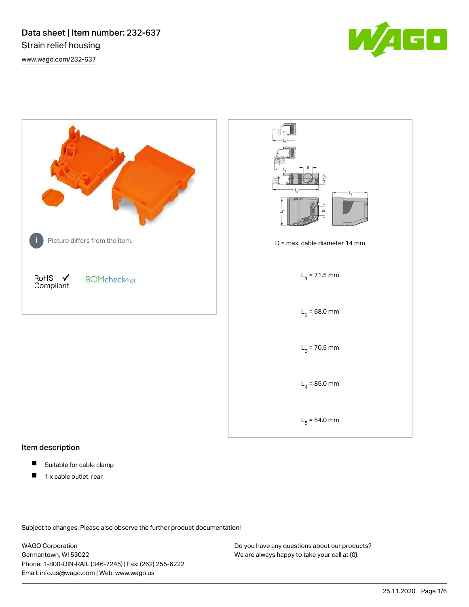Data sheet | Item number: 232-637 Strain relief housing [www.wago.com/232-637](http://www.wago.com/232-637)





### Item description

- Suitable for cable clamp П
- 1 x cable outlet, rear $\blacksquare$

Subject to changes. Please also observe the further product documentation!

WAGO Corporation Germantown, WI 53022 Phone: 1-800-DIN-RAIL (346-7245) | Fax: (262) 255-6222 Email: info.us@wago.com | Web: www.wago.us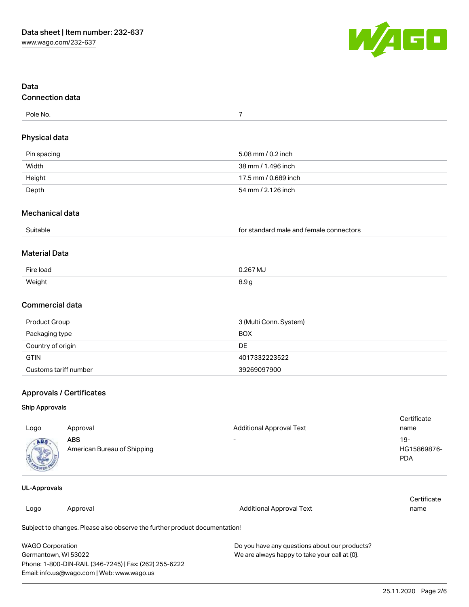

| Data<br><b>Connection data</b>                                                                                                                          |                                                                            |                                                                                                |                                     |  |  |  |  |
|---------------------------------------------------------------------------------------------------------------------------------------------------------|----------------------------------------------------------------------------|------------------------------------------------------------------------------------------------|-------------------------------------|--|--|--|--|
| Pole No.                                                                                                                                                |                                                                            | $\overline{7}$                                                                                 |                                     |  |  |  |  |
| <b>Physical data</b>                                                                                                                                    |                                                                            |                                                                                                |                                     |  |  |  |  |
| Pin spacing                                                                                                                                             |                                                                            | 5.08 mm / 0.2 inch                                                                             |                                     |  |  |  |  |
| Width                                                                                                                                                   |                                                                            | 38 mm / 1.496 inch                                                                             |                                     |  |  |  |  |
| Height                                                                                                                                                  |                                                                            | 17.5 mm / 0.689 inch                                                                           |                                     |  |  |  |  |
| Depth                                                                                                                                                   |                                                                            | 54 mm / 2.126 inch                                                                             |                                     |  |  |  |  |
| Mechanical data                                                                                                                                         |                                                                            |                                                                                                |                                     |  |  |  |  |
| Suitable                                                                                                                                                |                                                                            | for standard male and female connectors                                                        |                                     |  |  |  |  |
| <b>Material Data</b>                                                                                                                                    |                                                                            |                                                                                                |                                     |  |  |  |  |
| Fire load                                                                                                                                               |                                                                            | 0.267 MJ                                                                                       |                                     |  |  |  |  |
| Weight                                                                                                                                                  |                                                                            | 8.9g                                                                                           |                                     |  |  |  |  |
| <b>Commercial data</b>                                                                                                                                  |                                                                            |                                                                                                |                                     |  |  |  |  |
| Product Group                                                                                                                                           |                                                                            | 3 (Multi Conn. System)                                                                         |                                     |  |  |  |  |
| Packaging type                                                                                                                                          |                                                                            | <b>BOX</b>                                                                                     |                                     |  |  |  |  |
| Country of origin                                                                                                                                       |                                                                            | DE                                                                                             |                                     |  |  |  |  |
| <b>GTIN</b>                                                                                                                                             |                                                                            | 4017332223522                                                                                  |                                     |  |  |  |  |
| Customs tariff number                                                                                                                                   |                                                                            | 39269097900                                                                                    |                                     |  |  |  |  |
|                                                                                                                                                         | <b>Approvals / Certificates</b>                                            |                                                                                                |                                     |  |  |  |  |
| <b>Ship Approvals</b>                                                                                                                                   |                                                                            |                                                                                                |                                     |  |  |  |  |
|                                                                                                                                                         |                                                                            |                                                                                                | Certificate                         |  |  |  |  |
| Logo                                                                                                                                                    | Approval                                                                   | <b>Additional Approval Text</b>                                                                | name                                |  |  |  |  |
| AB S                                                                                                                                                    | <b>ABS</b><br>American Bureau of Shipping                                  |                                                                                                | $19 -$<br>HG15869876-<br><b>PDA</b> |  |  |  |  |
| <b>UL-Approvals</b>                                                                                                                                     |                                                                            |                                                                                                |                                     |  |  |  |  |
| Logo                                                                                                                                                    | Approval                                                                   | <b>Additional Approval Text</b>                                                                | Certificate<br>name                 |  |  |  |  |
|                                                                                                                                                         | Subject to changes. Please also observe the further product documentation! |                                                                                                |                                     |  |  |  |  |
| <b>WAGO Corporation</b><br>Germantown, WI 53022<br>Phone: 1-800-DIN-RAIL (346-7245)   Fax: (262) 255-6222<br>Email: info.us@wago.com   Web: www.wago.us |                                                                            | Do you have any questions about our products?<br>We are always happy to take your call at {0}. |                                     |  |  |  |  |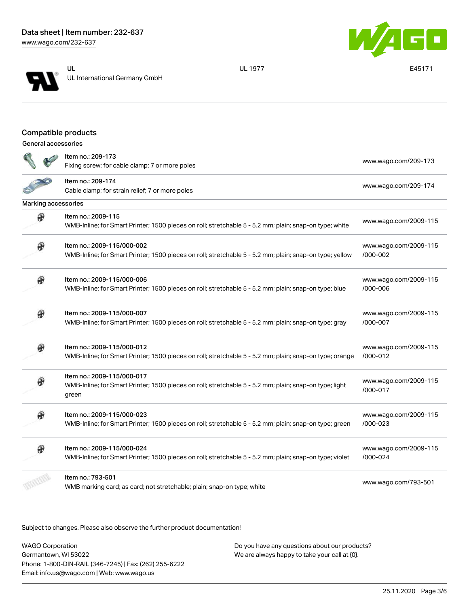



UL 1977 E45171

## Compatible products

| General accessories |
|---------------------|
|                     |

|                            | Item no.: 209-173<br>Fixing screw; for cable clamp; 7 or more poles                                                                           | www.wago.com/209-173              |
|----------------------------|-----------------------------------------------------------------------------------------------------------------------------------------------|-----------------------------------|
|                            | Item no.: 209-174<br>Cable clamp; for strain relief; 7 or more poles                                                                          | www.wago.com/209-174              |
| <b>Marking accessories</b> |                                                                                                                                               |                                   |
| ⊛                          | Item no.: 2009-115<br>WMB-Inline; for Smart Printer; 1500 pieces on roll; stretchable 5 - 5.2 mm; plain; snap-on type; white                  | www.wago.com/2009-115             |
| ⊛                          | Item no.: 2009-115/000-002<br>WMB-Inline; for Smart Printer; 1500 pieces on roll; stretchable 5 - 5.2 mm; plain; snap-on type; yellow         | www.wago.com/2009-115<br>/000-002 |
| ⊛                          | Item no.: 2009-115/000-006<br>WMB-Inline; for Smart Printer; 1500 pieces on roll; stretchable 5 - 5.2 mm; plain; snap-on type; blue           | www.wago.com/2009-115<br>/000-006 |
| ⊛                          | Item no.: 2009-115/000-007<br>WMB-Inline; for Smart Printer; 1500 pieces on roll; stretchable 5 - 5.2 mm; plain; snap-on type; gray           | www.wago.com/2009-115<br>/000-007 |
| ⊛                          | Item no.: 2009-115/000-012<br>WMB-Inline; for Smart Printer; 1500 pieces on roll; stretchable 5 - 5.2 mm; plain; snap-on type; orange         | www.wago.com/2009-115<br>/000-012 |
|                            | Item no.: 2009-115/000-017<br>WMB-Inline; for Smart Printer; 1500 pieces on roll; stretchable 5 - 5.2 mm; plain; snap-on type; light<br>green | www.wago.com/2009-115<br>/000-017 |
|                            | Item no.: 2009-115/000-023<br>WMB-Inline; for Smart Printer; 1500 pieces on roll; stretchable 5 - 5.2 mm; plain; snap-on type; green          | www.wago.com/2009-115<br>/000-023 |
|                            | Item no.: 2009-115/000-024<br>WMB-Inline; for Smart Printer; 1500 pieces on roll; stretchable 5 - 5.2 mm; plain; snap-on type; violet         | www.wago.com/2009-115<br>/000-024 |
|                            | Item no.: 793-501<br>WMB marking card; as card; not stretchable; plain; snap-on type; white                                                   | www.wago.com/793-501              |

Subject to changes. Please also observe the further product documentation!

WAGO Corporation Germantown, WI 53022 Phone: 1-800-DIN-RAIL (346-7245) | Fax: (262) 255-6222 Email: info.us@wago.com | Web: www.wago.us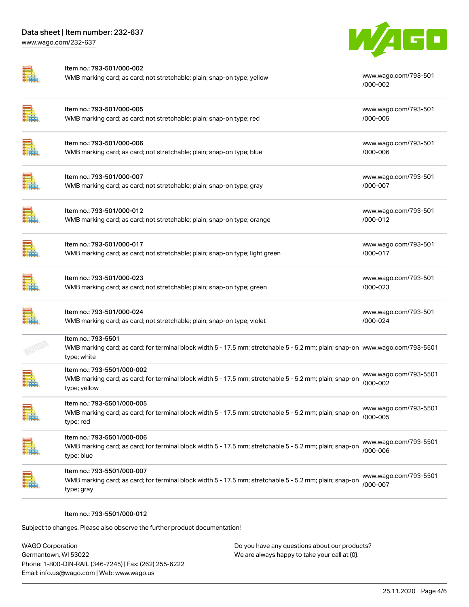

| Item no.: 793-501/000-002<br>WMB marking card; as card; not stretchable; plain; snap-on type; yellow                                                               | www.wago.com/793-501<br>/000-002  |
|--------------------------------------------------------------------------------------------------------------------------------------------------------------------|-----------------------------------|
| Item no.: 793-501/000-005<br>WMB marking card; as card; not stretchable; plain; snap-on type; red                                                                  | www.wago.com/793-501<br>/000-005  |
| Item no.: 793-501/000-006<br>WMB marking card; as card; not stretchable; plain; snap-on type; blue                                                                 | www.wago.com/793-501<br>/000-006  |
| Item no.: 793-501/000-007<br>WMB marking card; as card; not stretchable; plain; snap-on type; gray                                                                 | www.wago.com/793-501<br>/000-007  |
| Item no.: 793-501/000-012<br>WMB marking card; as card; not stretchable; plain; snap-on type; orange                                                               | www.wago.com/793-501<br>/000-012  |
| Item no.: 793-501/000-017<br>WMB marking card; as card; not stretchable; plain; snap-on type; light green                                                          | www.wago.com/793-501<br>/000-017  |
| Item no.: 793-501/000-023<br>WMB marking card; as card; not stretchable; plain; snap-on type; green                                                                | www.wago.com/793-501<br>/000-023  |
| Item no.: 793-501/000-024<br>WMB marking card; as card; not stretchable; plain; snap-on type; violet                                                               | www.wago.com/793-501<br>/000-024  |
| Item no.: 793-5501<br>WMB marking card; as card; for terminal block width 5 - 17.5 mm; stretchable 5 - 5.2 mm; plain; snap-on www.wago.com/793-5501<br>type; white |                                   |
| Item no.: 793-5501/000-002<br>WMB marking card; as card; for terminal block width 5 - 17.5 mm; stretchable 5 - 5.2 mm; plain; snap-on<br>type; yellow              | www.wago.com/793-5501<br>/000-002 |
| Item no.: 793-5501/000-005<br>WMB marking card; as card; for terminal block width 5 - 17.5 mm; stretchable 5 - 5.2 mm; plain; snap-on<br>type; red                 | www.wago.com/793-5501<br>/000-005 |
| Item no.: 793-5501/000-006<br>WMB marking card; as card; for terminal block width 5 - 17.5 mm; stretchable 5 - 5.2 mm; plain; snap-on<br>type; blue                | www.wago.com/793-5501<br>/000-006 |
| Item no.: 793-5501/000-007<br>WMB marking card; as card; for terminal block width 5 - 17.5 mm; stretchable 5 - 5.2 mm; plain; snap-on<br>type; gray                | www.wago.com/793-5501<br>/000-007 |
|                                                                                                                                                                    |                                   |

#### Item no.: 793-5501/000-012

Subject to changes. Please also observe the further product documentation!

| <b>WAGO Corporation</b>                                | Do you have any questions about our products? |
|--------------------------------------------------------|-----------------------------------------------|
| Germantown, WI 53022                                   | We are always happy to take your call at {0}. |
| Phone: 1-800-DIN-RAIL (346-7245)   Fax: (262) 255-6222 |                                               |
| Email: info.us@wago.com   Web: www.wago.us             |                                               |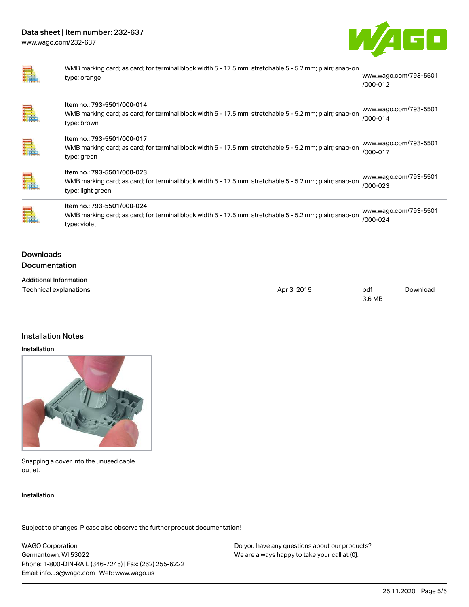

WMB marking card; as card; for terminal block width 5 - 17.5 mm; stretchable 5 - 5.2 mm; plain; snap-on type; orange [www.wago.com/793-5501](http://www.wago.com/793-5501/000-012) [/000-012](http://www.wago.com/793-5501/000-012)

| E.                                | Item no.: 793-5501/000-014<br>WMB marking card; as card; for terminal block width 5 - 17.5 mm; stretchable 5 - 5.2 mm; plain; snap-on<br>type; brown       | www.wago.com/793-5501<br>/000-014 |
|-----------------------------------|------------------------------------------------------------------------------------------------------------------------------------------------------------|-----------------------------------|
| ⊟                                 | Item no.: 793-5501/000-017<br>WMB marking card; as card; for terminal block width 5 - 17.5 mm; stretchable 5 - 5.2 mm; plain; snap-on<br>type; green       | www.wago.com/793-5501<br>/000-017 |
|                                   | Item no.: 793-5501/000-023<br>WMB marking card; as card; for terminal block width 5 - 17.5 mm; stretchable 5 - 5.2 mm; plain; snap-on<br>type; light green | www.wago.com/793-5501<br>/000-023 |
| e                                 | Item no.: 793-5501/000-024<br>WMB marking card; as card; for terminal block width 5 - 17.5 mm; stretchable 5 - 5.2 mm; plain; snap-on<br>type; violet      | www.wago.com/793-5501<br>/000-024 |
| <b>Downloads</b><br>Documentation |                                                                                                                                                            |                                   |
|                                   | <b>Additional Information</b>                                                                                                                              |                                   |

| Technical explanations | Apr 3, 2019 | pdf    | Download |
|------------------------|-------------|--------|----------|
|                        |             | 3.6 MB |          |

#### Installation Notes

#### Installation



Snapping a cover into the unused cable outlet.

#### Installation

Subject to changes. Please also observe the further product documentation!

WAGO Corporation Germantown, WI 53022 Phone: 1-800-DIN-RAIL (346-7245) | Fax: (262) 255-6222 Email: info.us@wago.com | Web: www.wago.us